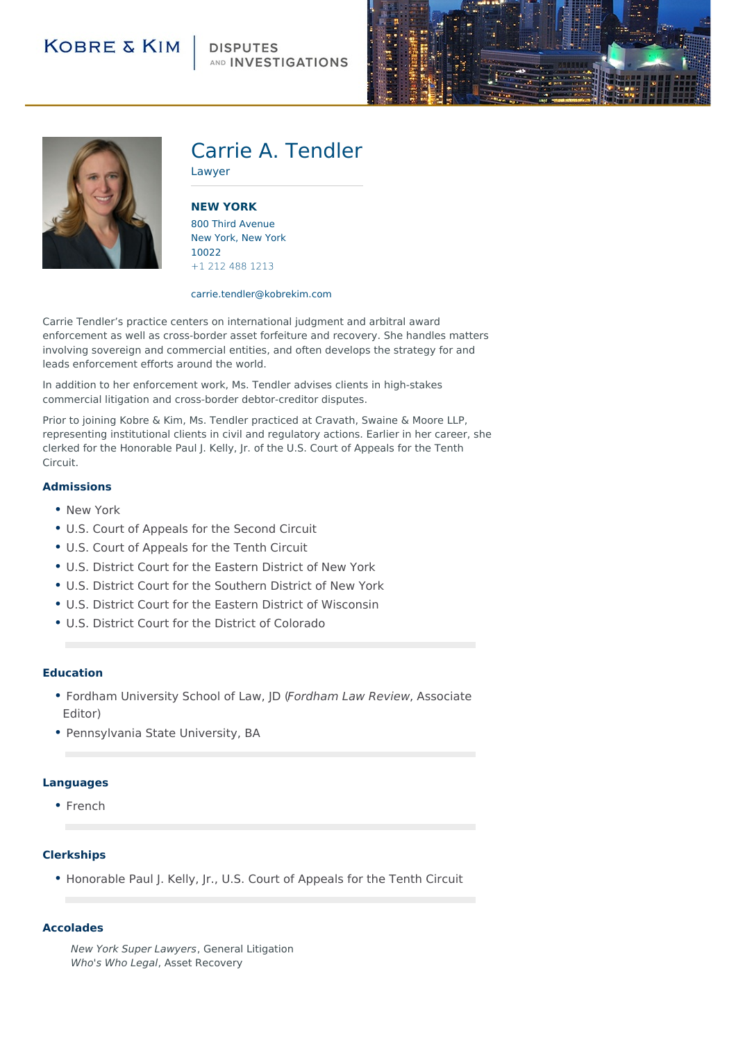## **DISPUTES** AND INVESTIGATIONS





# Carrie A. Tendler

Lawyer

**NEW [YORK](http://104.130.141.44/locations/new-york)** 800 Third Avenue New York, New York 10022 +1 212 488 1213

#### carrie.tendler@kobrekim.com

Carrie Tendler's practice centers on international judgment and arbitral award enforcement as well as cross-border asset forfeiture and recovery. She handles matters involving sovereign and commercial entities, and often develops the strategy for and leads enforcement efforts around the world.

In addition to her enforcement work, Ms. Tendler advises clients in high-stakes commercial litigation and cross-border debtor-creditor disputes.

Prior to joining Kobre & Kim, Ms. Tendler practiced at Cravath, Swaine & Moore LLP, representing institutional clients in civil and regulatory actions. Earlier in her career, she clerked for the Honorable Paul J. Kelly, Jr. of the U.S. Court of Appeals for the Tenth Circuit.

#### **Admissions**

- New York
- U.S. Court of Appeals for the Second Circuit
- U.S. Court of Appeals for the Tenth Circuit
- U.S. District Court for the Eastern District of New York
- U.S. District Court for the Southern District of New York
- U.S. District Court for the Eastern District of Wisconsin
- U.S. District Court for the District of Colorado

#### **Education**

- Fordham University School of Law, JD (Fordham Law Review, Associate Editor)
- Pennsylvania State University, BA

#### **Languages**

• French

### **Clerkships**

• Honorable Paul J. Kelly, Jr., U.S. Court of Appeals for the Tenth Circuit

#### **Accolades**

New York Super Lawyers, General Litigation Who's Who Legal, Asset Recovery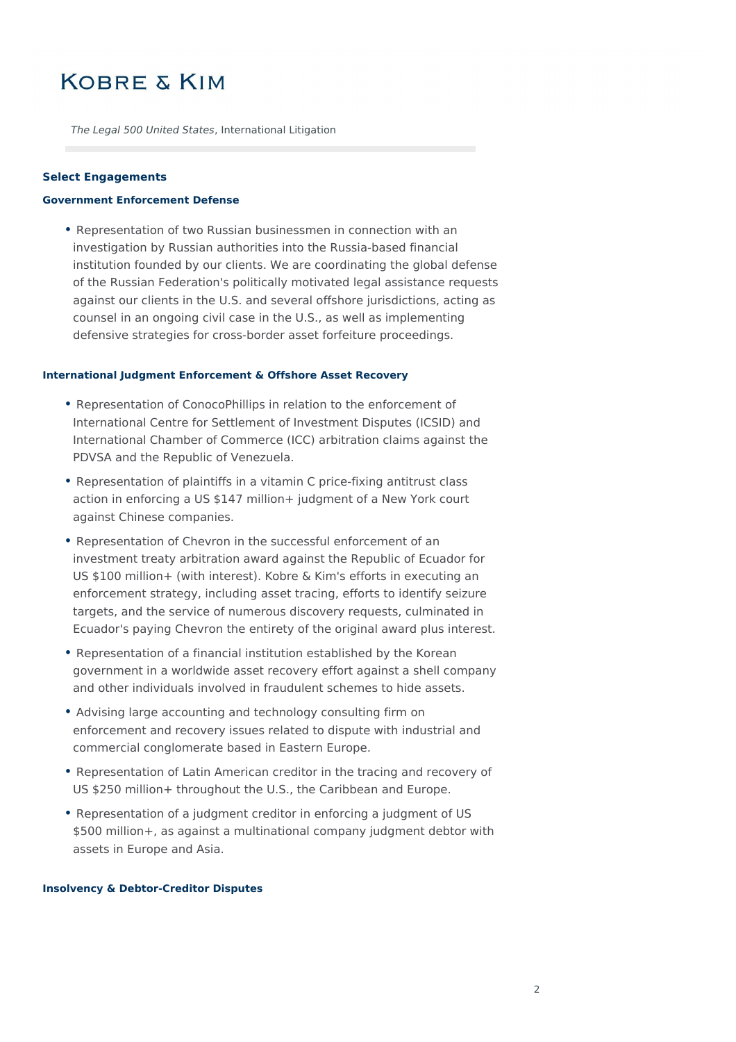The Legal 500 United States, International Litigation

#### **Select Engagements**

#### **Government Enforcement Defense**

• Representation of two Russian businessmen in connection with an investigation by Russian authorities into the Russia-based financial institution founded by our clients. We are coordinating the global defense of the Russian Federation's politically motivated legal assistance requests against our clients in the U.S. and several offshore jurisdictions, acting as counsel in an ongoing civil case in the U.S., as well as implementing defensive strategies for cross-border asset forfeiture proceedings.

#### **International Judgment Enforcement & Offshore Asset Recovery**

- Representation of ConocoPhillips in relation to the enforcement of International Centre for Settlement of Investment Disputes (ICSID) and International Chamber of Commerce (ICC) arbitration claims against the PDVSA and the Republic of Venezuela.
- Representation of plaintiffs in a vitamin C price-fixing antitrust class action in enforcing a US \$147 million+ judgment of a New York court against Chinese companies.
- Representation of Chevron in the successful enforcement of an investment treaty arbitration award against the Republic of Ecuador for US \$100 million+ (with interest). Kobre & Kim's efforts in executing an enforcement strategy, including asset tracing, efforts to identify seizure targets, and the service of numerous discovery requests, culminated in Ecuador's paying Chevron the entirety of the original award plus interest.
- Representation of a financial institution established by the Korean government in a worldwide asset recovery effort against a shell company and other individuals involved in fraudulent schemes to hide assets.
- Advising large accounting and technology consulting firm on enforcement and recovery issues related to dispute with industrial and commercial conglomerate based in Eastern Europe.
- Representation of Latin American creditor in the tracing and recovery of US \$250 million+ throughout the U.S., the Caribbean and Europe.
- Representation of a judgment creditor in enforcing a judgment of US \$500 million+, as against a multinational company judgment debtor with assets in Europe and Asia.

#### **Insolvency & Debtor-Creditor Disputes**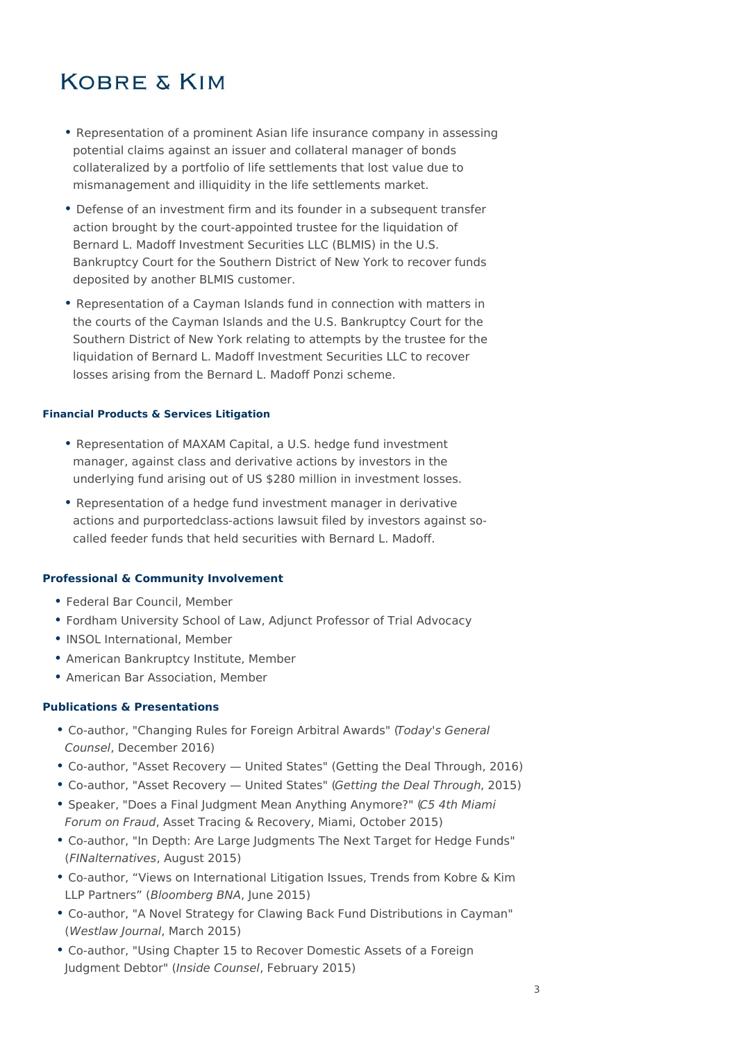- Representation of a prominent Asian life insurance company in assessing potential claims against an issuer and collateral manager of bonds collateralized by a portfolio of life settlements that lost value due to mismanagement and illiquidity in the life settlements market.
- Defense of an investment firm and its founder in a subsequent transfer action brought by the court-appointed trustee for the liquidation of Bernard L. Madoff Investment Securities LLC (BLMIS) in the U.S. Bankruptcy Court for the Southern District of New York to recover funds deposited by another BLMIS customer.
- Representation of a Cayman Islands fund in connection with matters in the courts of the Cayman Islands and the U.S. Bankruptcy Court for the Southern District of New York relating to attempts by the trustee for the liquidation of Bernard L. Madoff Investment Securities LLC to recover losses arising from the Bernard L. Madoff Ponzi scheme.

### **Financial Products & Services Litigation**

- Representation of MAXAM Capital, a U.S. hedge fund investment manager, against class and derivative actions by investors in the underlying fund arising out of US \$280 million in investment losses.
- Representation of a hedge fund investment manager in derivative actions and purportedclass-actions lawsuit filed by investors against socalled feeder funds that held securities with Bernard L. Madoff.

### **Professional & Community Involvement**

- Federal Bar Council, Member
- Fordham University School of Law, Adjunct Professor of Trial Advocacy
- INSOL International, Member
- American Bankruptcy Institute, Member
- American Bar Association, Member

### **Publications & Presentations**

- Co-author, "Changing Rules for Foreign Arbitral Awards" (Today's General Counsel, December 2016)
- Co-author, "Asset Recovery United States" (Getting the Deal Through, 2016)
- Co-author, "Asset Recovery United States" (Getting the Deal Through, 2015)
- Speaker, "Does a Final Judgment Mean Anything Anymore?" (C5 4th Miami Forum on Fraud, Asset Tracing & Recovery, Miami, October 2015)
- Co-author, "In Depth: Are Large Judgments The Next Target for Hedge Funds" (FINalternatives, August 2015)
- Co-author, "Views on International Litigation Issues, Trends from Kobre & Kim LLP Partners" (Bloomberg BNA, June 2015)
- Co-author, "A Novel Strategy for Clawing Back Fund Distributions in Cayman" (Westlaw Journal, March 2015)
- Co-author, "Using Chapter 15 to Recover Domestic Assets of a Foreign Judgment Debtor" (Inside Counsel, February 2015)